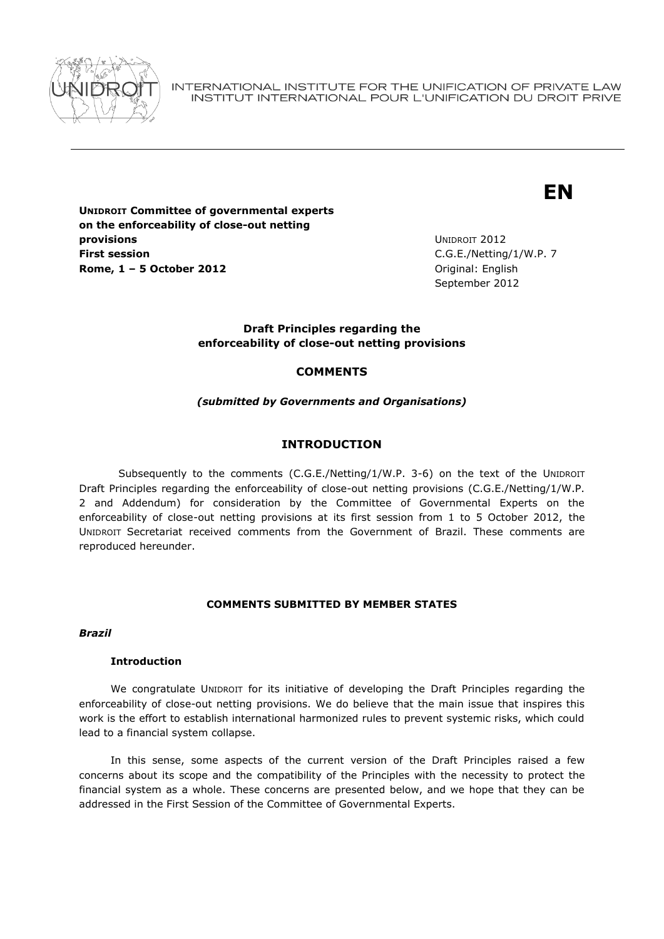

INTERNATIONAL INSTITUTE FOR THE UNIFICATION OF PRIVATE LAW INSTITUT INTERNATIONAL POUR L'UNIFICATION DU DROIT PRIVE

# **EN**

**UNIDROIT Committee of governmental experts on the enforceability of close-out netting provisions First session Rome, 1 – 5 October 2012** Original: English

UNIDROIT 2012 C.G.E./Netting/1/W.P. 7 September 2012

## **Draft Principles regarding the enforceability of close-out netting provisions**

## **COMMENTS**

## *(submitted by Governments and Organisations)*

# **INTRODUCTION**

Subsequently to the comments (C.G.E./Netting/1/W.P. 3-6) on the text of the UNIDROIT Draft Principles regarding the enforceability of close-out netting provisions (C.G.E./Netting/1/W.P. 2 and Addendum) for consideration by the Committee of Governmental Experts on the enforceability of close-out netting provisions at its first session from 1 to 5 October 2012, the UNIDROIT Secretariat received comments from the Government of Brazil. These comments are reproduced hereunder.

## **COMMENTS SUBMITTED BY MEMBER STATES**

## *Brazil*

## **Introduction**

We congratulate UNIDROIT for its initiative of developing the Draft Principles regarding the enforceability of close-out netting provisions. We do believe that the main issue that inspires this work is the effort to establish international harmonized rules to prevent systemic risks, which could lead to a financial system collapse.

In this sense, some aspects of the current version of the Draft Principles raised a few concerns about its scope and the compatibility of the Principles with the necessity to protect the financial system as a whole. These concerns are presented below, and we hope that they can be addressed in the First Session of the Committee of Governmental Experts.